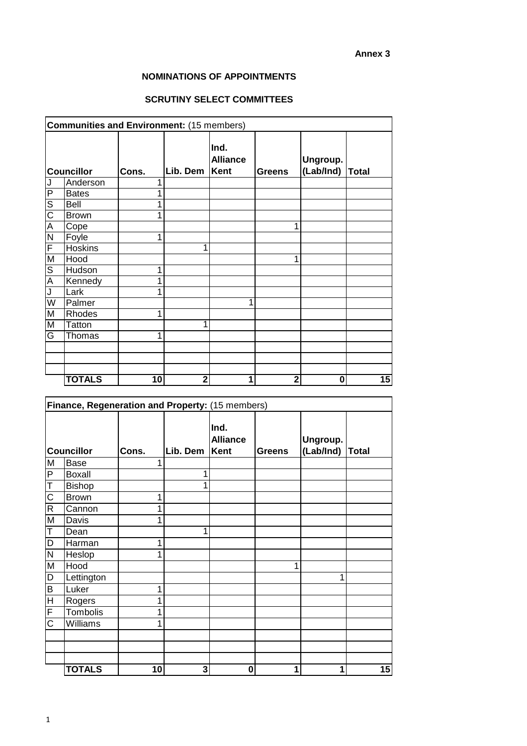## **NOMINATIONS OF APPOINTMENTS**

## **SCRUTINY SELECT COMMITTEES**

| <b>Communities and Environment: (15 members)</b> |                |       |                |                                        |                |                       |       |
|--------------------------------------------------|----------------|-------|----------------|----------------------------------------|----------------|-----------------------|-------|
| <b>Councillor</b>                                |                | Cons. | Lib. Dem       | Ind.<br><b>Alliance</b><br><b>Kent</b> | Greens         | Ungroup.<br>(Lab/Ind) | Total |
| J                                                | Anderson       | 1     |                |                                        |                |                       |       |
| $\overline{P}$                                   | <b>Bates</b>   | 1     |                |                                        |                |                       |       |
| $\overline{\mathsf{s}}$                          | <b>Bell</b>    | 1     |                |                                        |                |                       |       |
| $\overline{\text{C}}$                            | <b>Brown</b>   | 1     |                |                                        |                |                       |       |
| A                                                | Cope           |       |                |                                        | 1              |                       |       |
| $\overline{\mathsf{N}}$                          | Foyle          | 1     |                |                                        |                |                       |       |
| F                                                | <b>Hoskins</b> |       | 1              |                                        |                |                       |       |
| M                                                | Hood           |       |                |                                        | 1              |                       |       |
| $\overline{\mathsf{S}}$                          | Hudson         | 1     |                |                                        |                |                       |       |
| $\overline{A}$                                   | Kennedy        | 1     |                |                                        |                |                       |       |
| J                                                | Lark           | 1     |                |                                        |                |                       |       |
| $\overline{\mathsf{W}}$                          | Palmer         |       |                |                                        |                |                       |       |
| M                                                | Rhodes         | 1     |                |                                        |                |                       |       |
| M                                                | <b>Tatton</b>  |       | 1              |                                        |                |                       |       |
| G                                                | Thomas         | 1     |                |                                        |                |                       |       |
|                                                  |                |       |                |                                        |                |                       |       |
|                                                  |                |       |                |                                        |                |                       |       |
|                                                  |                |       |                |                                        |                |                       |       |
|                                                  | <b>TOTALS</b>  | 10    | $\overline{2}$ | 1                                      | $\overline{2}$ | 0                     | 15    |

| Finance, Regeneration and Property: (15 members) |               |          |                                 |               |                       |       |    |
|--------------------------------------------------|---------------|----------|---------------------------------|---------------|-----------------------|-------|----|
| <b>Councillor</b><br>Cons.                       |               | Lib. Dem | Ind.<br><b>Alliance</b><br>Kent | <b>Greens</b> | Ungroup.<br>(Lab/Ind) | Total |    |
| M                                                | <b>Base</b>   |          |                                 |               |                       |       |    |
| $\mathsf P$                                      | <b>Boxall</b> |          | 1                               |               |                       |       |    |
| T                                                | <b>Bishop</b> |          |                                 |               |                       |       |    |
| $\overline{\text{C}}$                            | <b>Brown</b>  | 1        |                                 |               |                       |       |    |
| $\overline{R}$                                   | Cannon        |          |                                 |               |                       |       |    |
| M                                                | Davis         | 1        |                                 |               |                       |       |    |
| Τ                                                | Dean          |          |                                 |               |                       |       |    |
| $\overline{D}$                                   | Harman        | 1        |                                 |               |                       |       |    |
| ${\sf N}$                                        | Heslop        | 1        |                                 |               |                       |       |    |
| M                                                | Hood          |          |                                 |               | 4                     |       |    |
| D                                                | Lettington    |          |                                 |               |                       |       |    |
| $\overline{B}$                                   | Luker         | 1        |                                 |               |                       |       |    |
| $\overline{H}$                                   | Rogers        | 1        |                                 |               |                       |       |    |
| $\overline{\mathsf{F}}$                          | Tombolis      | 1        |                                 |               |                       |       |    |
| C                                                | Williams      | 1        |                                 |               |                       |       |    |
|                                                  |               |          |                                 |               |                       |       |    |
|                                                  |               |          |                                 |               |                       |       |    |
|                                                  |               |          |                                 |               |                       |       |    |
|                                                  | <b>TOTALS</b> | 10       | 3                               | $\bf{0}$      | 1                     | 1     | 15 |